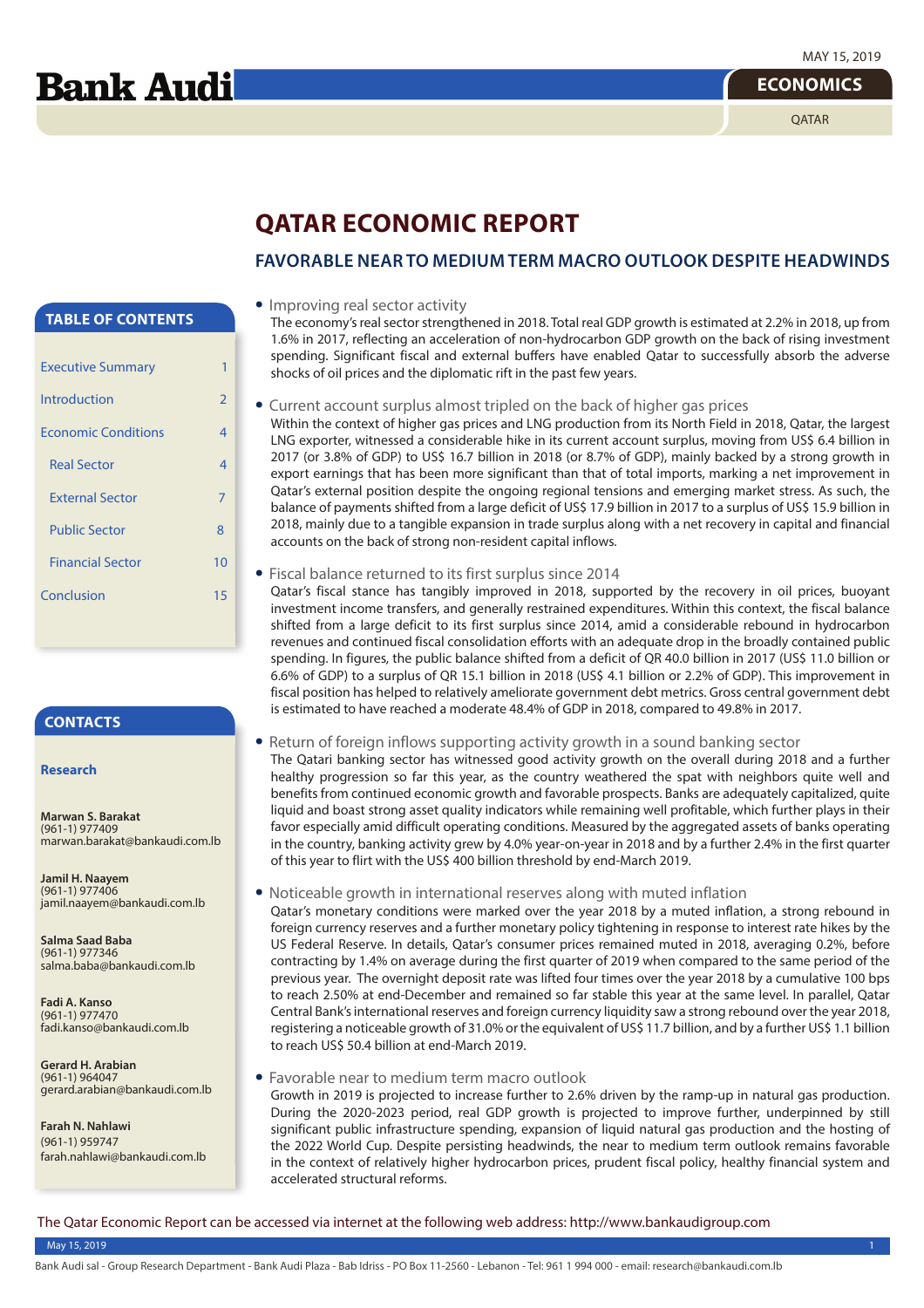**Bank Audi** 

#### **ECONOMICS**

**OATAR** 

## **QATAR ECONOMIC REPORT**

## **FAVORABLE NEAR TO MEDIUM TERM MACRO OUTLOOK DESPITE HEADWINDS**

## **TABLE OF CONTENTS**

| <b>Executive Summary</b>   |                |
|----------------------------|----------------|
| Introduction               | $\overline{2}$ |
| <b>Fronomic Conditions</b> | 4              |
| <b>Real Sector</b>         | 4              |
| <b>External Sector</b>     | 7              |
| <b>Public Sector</b>       | 8              |
| <b>Financial Sector</b>    | 10             |
| Conclusion                 | 15             |
|                            |                |

## **CONTACTS**

#### **Research**

**Marwan S. Barakat** (961-1) 977409 marwan.barakat@bankaudi.com.lb

**Jamil H. Naayem** (961-1) 977406 jamil.naayem@bankaudi.com.lb

**Salma Saad Baba** (961-1) 977346 salma.baba@bankaudi.com.lb

**Fadi A. Kanso** (961-1) 977470 fadi.kanso@bankaudi.com.lb

**Gerard H. Arabian** (961-1) 964047 gerard.arabian@bankaudi.com.lb

**Farah N. Nahlawi** (961-1) 959747 farah.nahlawi@bankaudi.com.lb

#### **•** Improving real sector activity

The economy's real sector strengthened in 2018. Total real GDP growth is estimated at 2.2% in 2018, up from 1.6% in 2017, reflecting an acceleration of non-hydrocarbon GDP growth on the back of rising investment spending. Significant fiscal and external buffers have enabled Qatar to successfully absorb the adverse shocks of oil prices and the diplomatic rift in the past few years.

**•** Current account surplus almost tripled on the back of higher gas prices

Within the context of higher gas prices and LNG production from its North Field in 2018, Oatar, the largest LNG exporter, witnessed a considerable hike in its current account surplus, moving from US\$ 6.4 billion in 2017 (or 3.8% of GDP) to US\$ 16.7 billion in 2018 (or 8.7% of GDP), mainly backed by a strong growth in export earnings that has been more significant than that of total imports, marking a net improvement in Qatar's external position despite the ongoing regional tensions and emerging market stress. As such, the balance of payments shifted from a large deficit of US\$ 17.9 billion in 2017 to a surplus of US\$ 15.9 billion in 2018, mainly due to a tangible expansion in trade surplus along with a net recovery in capital and financial accounts on the back of strong non-resident capital inflows.

**•** Fiscal balance returned to its first surplus since 2014

Qatar's fiscal stance has tangibly improved in 2018, supported by the recovery in oil prices, buoyant investment income transfers, and generally restrained expenditures. Within this context, the fiscal balance shifted from a large deficit to its first surplus since 2014, amid a considerable rebound in hydrocarbon revenues and continued fiscal consolidation efforts with an adequate drop in the broadly contained public spending. In figures, the public balance shifted from a deficit of QR 40.0 billion in 2017 (US\$ 11.0 billion or 6.6% of GDP) to a surplus of QR 15.1 billion in 2018 (US\$ 4.1 billion or 2.2% of GDP). This improvement in fiscal position has helped to relatively ameliorate government debt metrics. Gross central government debt is estimated to have reached a moderate 48.4% of GDP in 2018, compared to 49.8% in 2017.

**•** Return of foreign inflows supporting activity growth in a sound banking sector

The Qatari banking sector has witnessed good activity growth on the overall during 2018 and a further healthy progression so far this year, as the country weathered the spat with neighbors quite well and benefits from continued economic growth and favorable prospects. Banks are adequately capitalized, quite liquid and boast strong asset quality indicators while remaining well profitable, which further plays in their favor especially amid difficult operating conditions. Measured by the aggregated assets of banks operating in the country, banking activity grew by 4.0% year-on-year in 2018 and by a further 2.4% in the first quarter of this year to flirt with the US\$ 400 billion threshold by end-March 2019.

#### **•** Noticeable growth in international reserves along with muted inflation

Qatar's monetary conditions were marked over the year 2018 by a muted inflation, a strong rebound in foreign currency reserves and a further monetary policy tightening in response to interest rate hikes by the US Federal Reserve. In details, Qatar's consumer prices remained muted in 2018, averaging 0.2%, before contracting by 1.4% on average during the first quarter of 2019 when compared to the same period of the previous year. The overnight deposit rate was lifted four times over the year 2018 by a cumulative 100 bps to reach 2.50% at end-December and remained so far stable this year at the same level. In parallel, Qatar Central Bank's international reserves and foreign currency liquidity saw a strong rebound over the year 2018, registering a noticeable growth of 31.0% or the equivalent of US\$ 11.7 billion, and by a further US\$ 1.1 billion to reach US\$ 50.4 billion at end-March 2019.

#### **•** Favorable near to medium term macro outlook

Growth in 2019 is projected to increase further to 2.6% driven by the ramp-up in natural gas production. During the 2020-2023 period, real GDP growth is projected to improve further, underpinned by still significant public infrastructure spending, expansion of liquid natural gas production and the hosting of the 2022 World Cup. Despite persisting headwinds, the near to medium term outlook remains favorable in the context of relatively higher hydrocarbon prices, prudent fiscal policy, healthy financial system and accelerated structural reforms.

The Qatar Economic Report can be accessed via internet at the following web address: http://www.bankaudigroup.com

#### May 15, 2019 1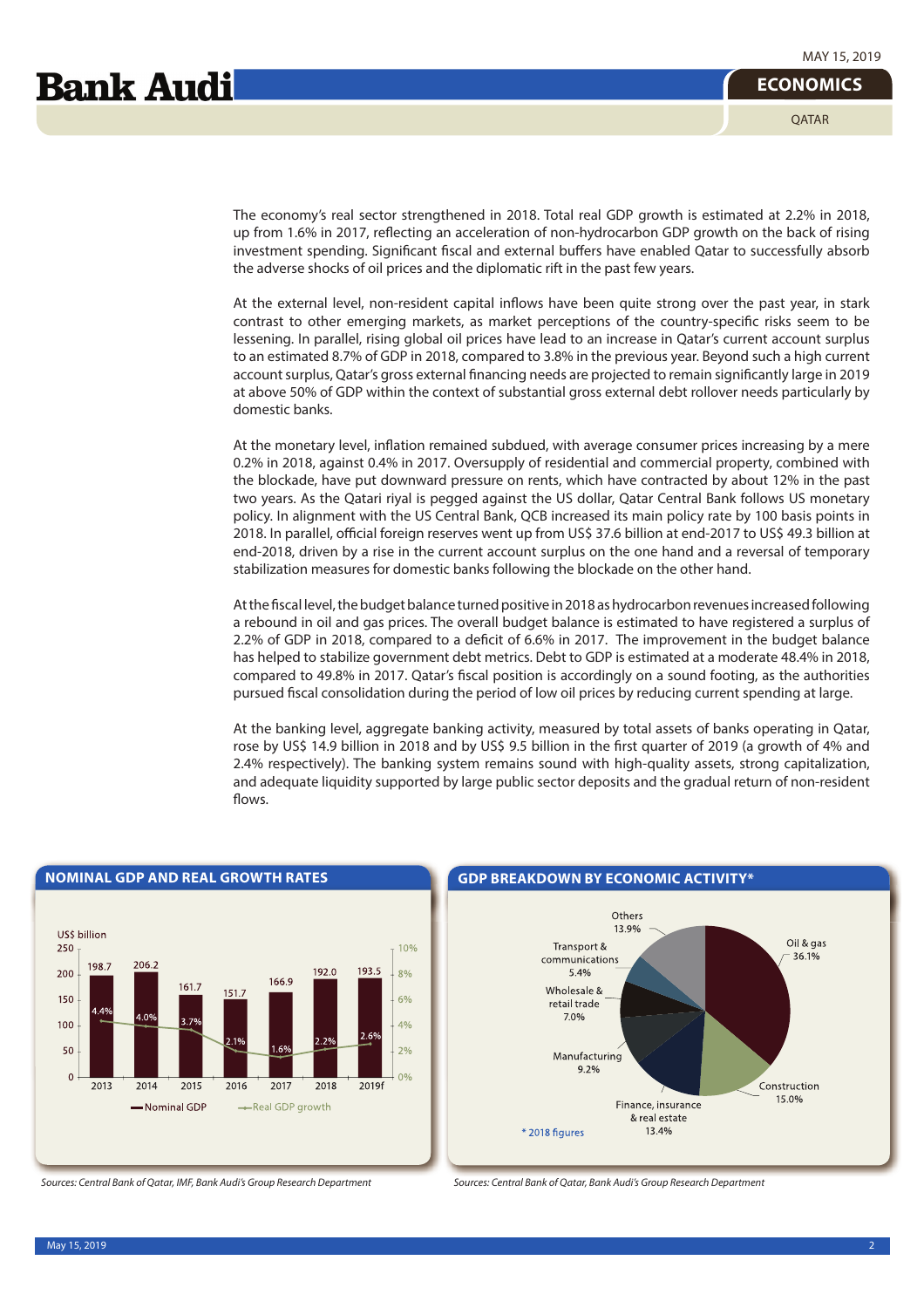**OATAR** 

The economy's real sector strengthened in 2018. Total real GDP growth is estimated at 2.2% in 2018, up from 1.6% in 2017, reflecting an acceleration of non-hydrocarbon GDP growth on the back of rising investment spending. Significant fiscal and external buffers have enabled Qatar to successfully absorb the adverse shocks of oil prices and the diplomatic rift in the past few years.

At the external level, non-resident capital inflows have been quite strong over the past year, in stark contrast to other emerging markets, as market perceptions of the country-specific risks seem to be lessening. In parallel, rising global oil prices have lead to an increase in Qatar's current account surplus to an estimated 8.7% of GDP in 2018, compared to 3.8% in the previous year. Beyond such a high current account surplus, Qatar's gross external financing needs are projected to remain significantly large in 2019 at above 50% of GDP within the context of substantial gross external debt rollover needs particularly by domestic banks.

At the monetary level, inflation remained subdued, with average consumer prices increasing by a mere 0.2% in 2018, against 0.4% in 2017. Oversupply of residential and commercial property, combined with the blockade, have put downward pressure on rents, which have contracted by about 12% in the past two years. As the Qatari riyal is pegged against the US dollar, Qatar Central Bank follows US monetary policy. In alignment with the US Central Bank, QCB increased its main policy rate by 100 basis points in 2018. In parallel, official foreign reserves went up from US\$ 37.6 billion at end-2017 to US\$ 49.3 billion at end-2018, driven by a rise in the current account surplus on the one hand and a reversal of temporary stabilization measures for domestic banks following the blockade on the other hand.

At the fiscal level, the budget balance turned positive in 2018 as hydrocarbon revenues increased following a rebound in oil and gas prices. The overall budget balance is estimated to have registered a surplus of 2.2% of GDP in 2018, compared to a deficit of 6.6% in 2017. The improvement in the budget balance has helped to stabilize government debt metrics. Debt to GDP is estimated at a moderate 48.4% in 2018, compared to 49.8% in 2017. Qatar's fiscal position is accordingly on a sound footing, as the authorities pursued fiscal consolidation during the period of low oil prices by reducing current spending at large.

At the banking level, aggregate banking activity, measured by total assets of banks operating in Qatar, rose by US\$ 14.9 billion in 2018 and by US\$ 9.5 billion in the first quarter of 2019 (a growth of 4% and 2.4% respectively). The banking system remains sound with high-quality assets, strong capitalization, and adequate liquidity supported by large public sector deposits and the gradual return of non-resident flows.



## **NOMINAL GDP AND REAL GROWTH RATES GDP BREAKDOWN BY ECONOMIC ACTIVITY\***





Sources: Central Bank of Qatar, IMF, Bank Audi's Group Research Department Sources: Central Bank of Qatar, Bank Audi's Group Research Department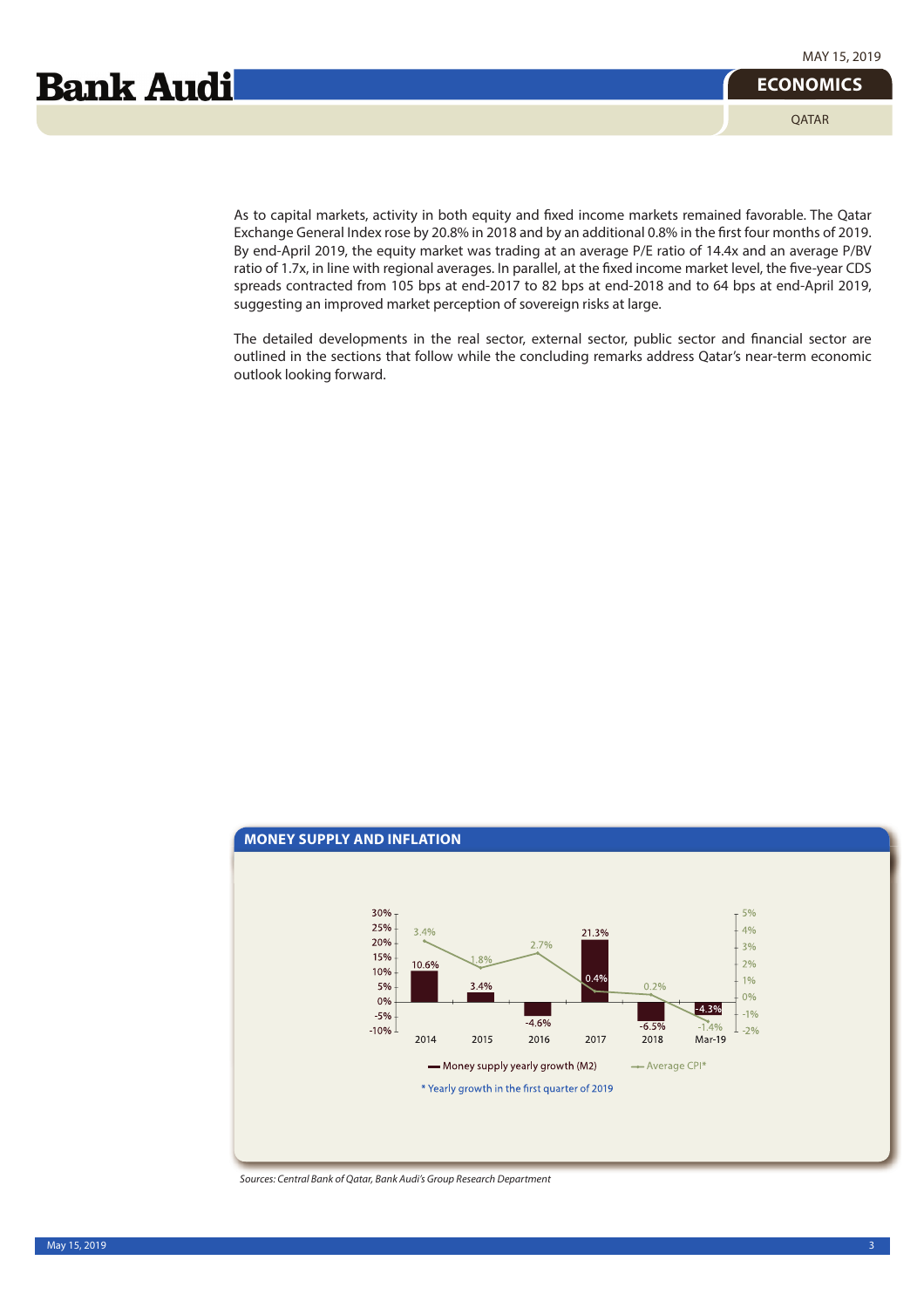**ECONOMICS** QATAR

As to capital markets, activity in both equity and fixed income markets remained favorable. The Qatar Exchange General Index rose by 20.8% in 2018 and by an additional 0.8% in the first four months of 2019. By end-April 2019, the equity market was trading at an average P/E ratio of 14.4x and an average P/BV ratio of 1.7x, in line with regional averages. In parallel, at the fixed income market level, the five-year CDS spreads contracted from 105 bps at end-2017 to 82 bps at end-2018 and to 64 bps at end-April 2019, suggesting an improved market perception of sovereign risks at large.

The detailed developments in the real sector, external sector, public sector and financial sector are outlined in the sections that follow while the concluding remarks address Qatar's near-term economic outlook looking forward.



Sources: Central Bank of Qatar, Bank Audi's Group Research Department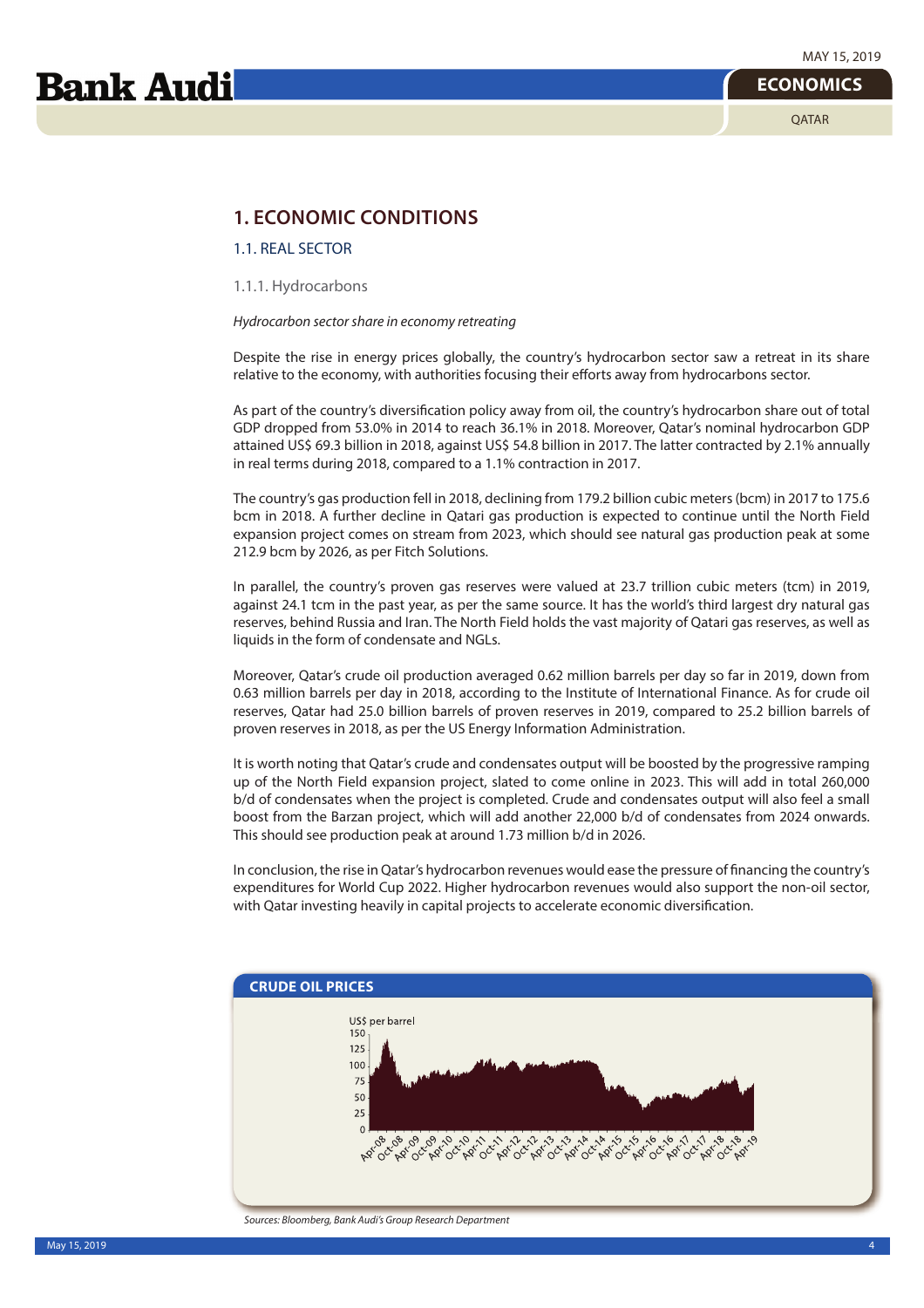## **1. ECONOMIC CONDITIONS**

1.1. REAL SECTOR

1.1.1. Hydrocarbons

Hydrocarbon sector share in economy retreating

Despite the rise in energy prices globally, the country's hydrocarbon sector saw a retreat in its share relative to the economy, with authorities focusing their efforts away from hydrocarbons sector.

As part of the country's diversification policy away from oil, the country's hydrocarbon share out of total GDP dropped from 53.0% in 2014 to reach 36.1% in 2018. Moreover, Qatar's nominal hydrocarbon GDP attained US\$ 69.3 billion in 2018, against US\$ 54.8 billion in 2017. The latter contracted by 2.1% annually in real terms during 2018, compared to a 1.1% contraction in 2017.

The country's gas production fell in 2018, declining from 179.2 billion cubic meters (bcm) in 2017 to 175.6 bcm in 2018. A further decline in Qatari gas production is expected to continue until the North Field expansion project comes on stream from 2023, which should see natural gas production peak at some 212.9 bcm by 2026, as per Fitch Solutions.

In parallel, the country's proven gas reserves were valued at 23.7 trillion cubic meters (tcm) in 2019, against 24.1 tcm in the past year, as per the same source. It has the world's third largest dry natural gas reserves, behind Russia and Iran. The North Field holds the vast majority of Qatari gas reserves, as well as liquids in the form of condensate and NGLs.

Moreover, Qatar's crude oil production averaged 0.62 million barrels per day so far in 2019, down from 0.63 million barrels per day in 2018, according to the Institute of International Finance. As for crude oil reserves, Qatar had 25.0 billion barrels of proven reserves in 2019, compared to 25.2 billion barrels of proven reserves in 2018, as per the US Energy Information Administration.

It is worth noting that Qatar's crude and condensates output will be boosted by the progressive ramping up of the North Field expansion project, slated to come online in 2023. This will add in total 260,000 b/d of condensates when the project is completed. Crude and condensates output will also feel a small boost from the Barzan project, which will add another 22,000 b/d of condensates from 2024 onwards. This should see production peak at around 1.73 million b/d in 2026.

In conclusion, the rise in Qatar's hydrocarbon revenues would ease the pressure of financing the country's expenditures for World Cup 2022. Higher hydrocarbon revenues would also support the non-oil sector, with Qatar investing heavily in capital projects to accelerate economic diversification.

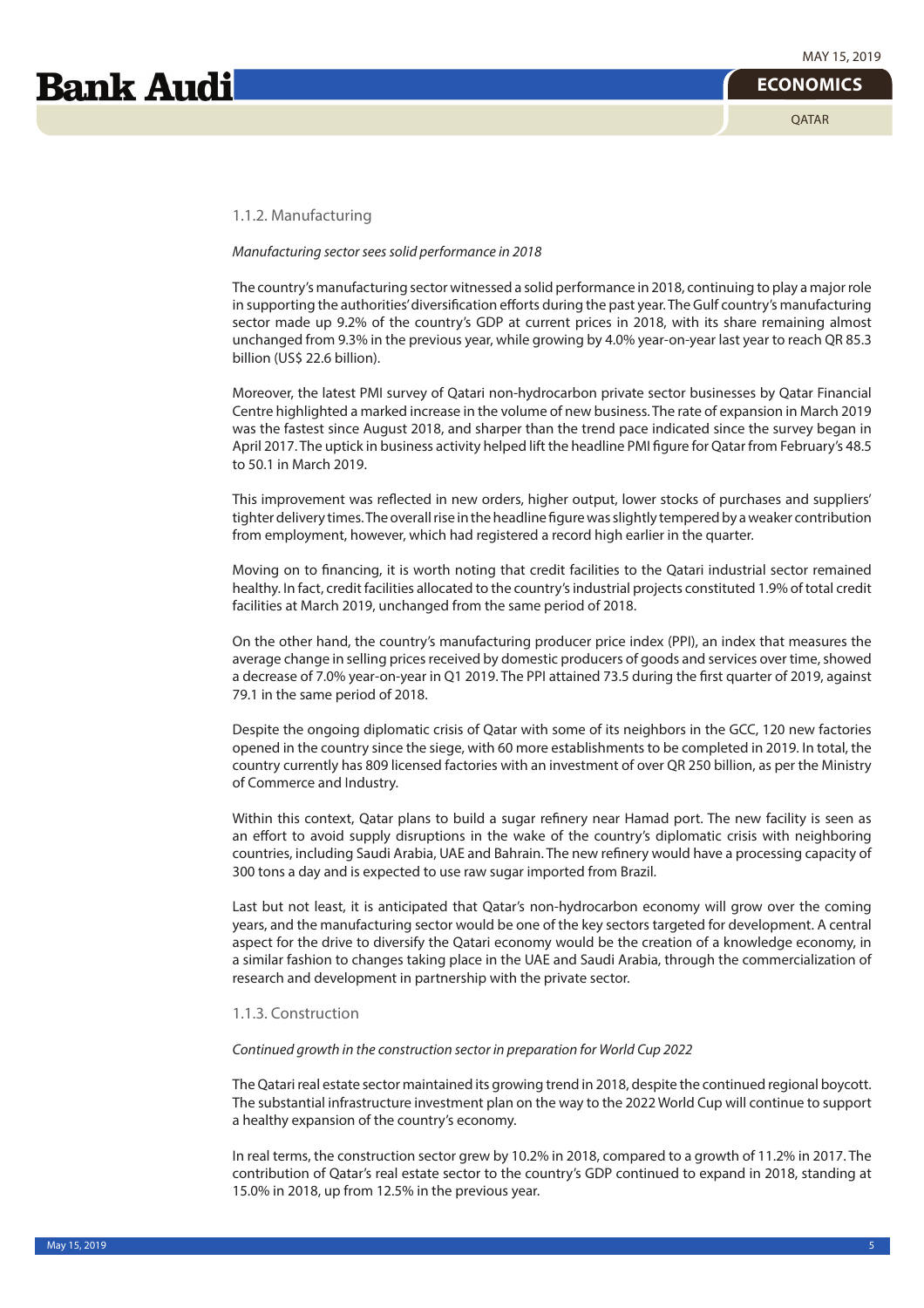#### 1.1.2. Manufacturing

#### Manufacturing sector sees solid performance in 2018

The country's manufacturing sector witnessed a solid performance in 2018, continuing to play a major role in supporting the authorities' diversification efforts during the past year. The Gulf country's manufacturing sector made up 9.2% of the country's GDP at current prices in 2018, with its share remaining almost unchanged from 9.3% in the previous year, while growing by 4.0% year-on-year last year to reach QR 85.3 billion (US\$ 22.6 billion).

Moreover, the latest PMI survey of Qatari non-hydrocarbon private sector businesses by Qatar Financial Centre highlighted a marked increase in the volume of new business. The rate of expansion in March 2019 was the fastest since August 2018, and sharper than the trend pace indicated since the survey began in April 2017. The uptick in business activity helped lift the headline PMI figure for Qatar from February's 48.5 to 50.1 in March 2019.

This improvement was reflected in new orders, higher output, lower stocks of purchases and suppliers' tighter delivery times. The overall rise in the headline figure was slightly tempered by a weaker contribution from employment, however, which had registered a record high earlier in the quarter.

Moving on to financing, it is worth noting that credit facilities to the Qatari industrial sector remained healthy. In fact, credit facilities allocated to the country's industrial projects constituted 1.9% of total credit facilities at March 2019, unchanged from the same period of 2018.

On the other hand, the country's manufacturing producer price index (PPI), an index that measures the average change in selling prices received by domestic producers of goods and services over time, showed a decrease of 7.0% year-on-year in Q1 2019. The PPI attained 73.5 during the first quarter of 2019, against 79.1 in the same period of 2018.

Despite the ongoing diplomatic crisis of Qatar with some of its neighbors in the GCC, 120 new factories opened in the country since the siege, with 60 more establishments to be completed in 2019. In total, the country currently has 809 licensed factories with an investment of over QR 250 billion, as per the Ministry of Commerce and Industry.

Within this context, Qatar plans to build a sugar refinery near Hamad port. The new facility is seen as an effort to avoid supply disruptions in the wake of the country's diplomatic crisis with neighboring countries, including Saudi Arabia, UAE and Bahrain. The new refinery would have a processing capacity of 300 tons a day and is expected to use raw sugar imported from Brazil.

Last but not least, it is anticipated that Qatar's non-hydrocarbon economy will grow over the coming years, and the manufacturing sector would be one of the key sectors targeted for development. A central aspect for the drive to diversify the Qatari economy would be the creation of a knowledge economy, in a similar fashion to changes taking place in the UAE and Saudi Arabia, through the commercialization of research and development in partnership with the private sector.

#### 1.1.3. Construction

#### Continued growth in the construction sector in preparation for World Cup 2022

The Qatari real estate sector maintained its growing trend in 2018, despite the continued regional boycott. The substantial infrastructure investment plan on the way to the 2022 World Cup will continue to support a healthy expansion of the country's economy.

In real terms, the construction sector grew by 10.2% in 2018, compared to a growth of 11.2% in 2017. The contribution of Qatar's real estate sector to the country's GDP continued to expand in 2018, standing at 15.0% in 2018, up from 12.5% in the previous year.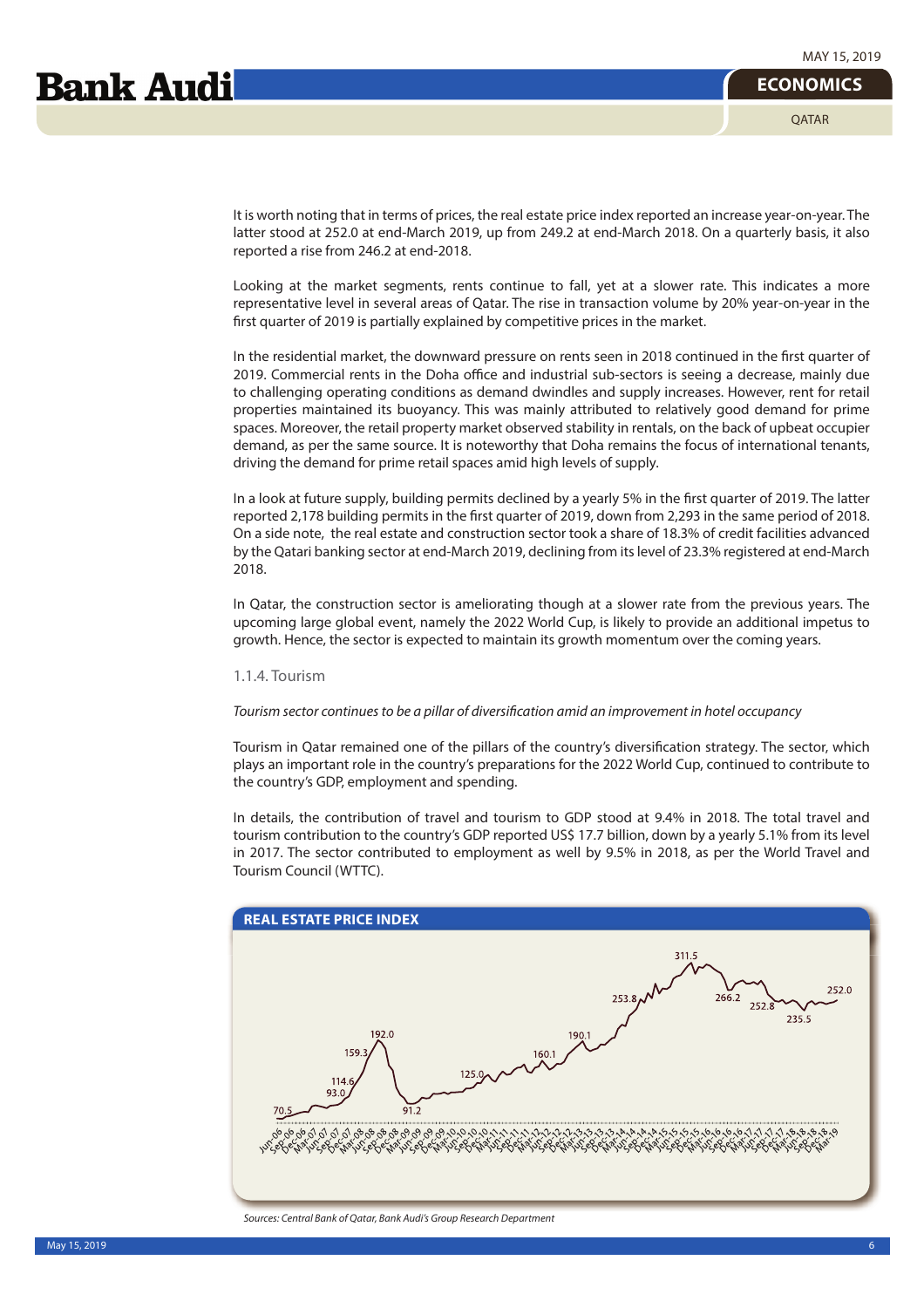**OATAR** 

## **Bank Audi**

It is worth noting that in terms of prices, the real estate price index reported an increase year-on-year. The latter stood at 252.0 at end-March 2019, up from 249.2 at end-March 2018. On a quarterly basis, it also reported a rise from 246.2 at end-2018.

Looking at the market segments, rents continue to fall, yet at a slower rate. This indicates a more representative level in several areas of Qatar. The rise in transaction volume by 20% year-on-year in the first quarter of 2019 is partially explained by competitive prices in the market.

In the residential market, the downward pressure on rents seen in 2018 continued in the first quarter of 2019. Commercial rents in the Doha office and industrial sub-sectors is seeing a decrease, mainly due to challenging operating conditions as demand dwindles and supply increases. However, rent for retail properties maintained its buoyancy. This was mainly attributed to relatively good demand for prime spaces. Moreover, the retail property market observed stability in rentals, on the back of upbeat occupier demand, as per the same source. It is noteworthy that Doha remains the focus of international tenants, driving the demand for prime retail spaces amid high levels of supply.

In a look at future supply, building permits declined by a yearly 5% in the first quarter of 2019. The latter reported 2,178 building permits in the first quarter of 2019, down from 2,293 in the same period of 2018. On a side note, the real estate and construction sector took a share of 18.3% of credit facilities advanced by the Qatari banking sector at end-March 2019, declining from its level of 23.3% registered at end-March 2018.

In Qatar, the construction sector is ameliorating though at a slower rate from the previous years. The upcoming large global event, namely the 2022 World Cup, is likely to provide an additional impetus to growth. Hence, the sector is expected to maintain its growth momentum over the coming years.

#### 1.1.4. Tourism

#### Tourism sector continues to be a pillar of diversification amid an improvement in hotel occupancy

Tourism in Qatar remained one of the pillars of the country's diversification strategy. The sector, which plays an important role in the country's preparations for the 2022 World Cup, continued to contribute to the country's GDP, employment and spending.

In details, the contribution of travel and tourism to GDP stood at 9.4% in 2018. The total travel and tourism contribution to the country's GDP reported US\$ 17.7 billion, down by a yearly 5.1% from its level in 2017. The sector contributed to employment as well by 9.5% in 2018, as per the World Travel and Tourism Council (WTTC).



May 15, 2019 6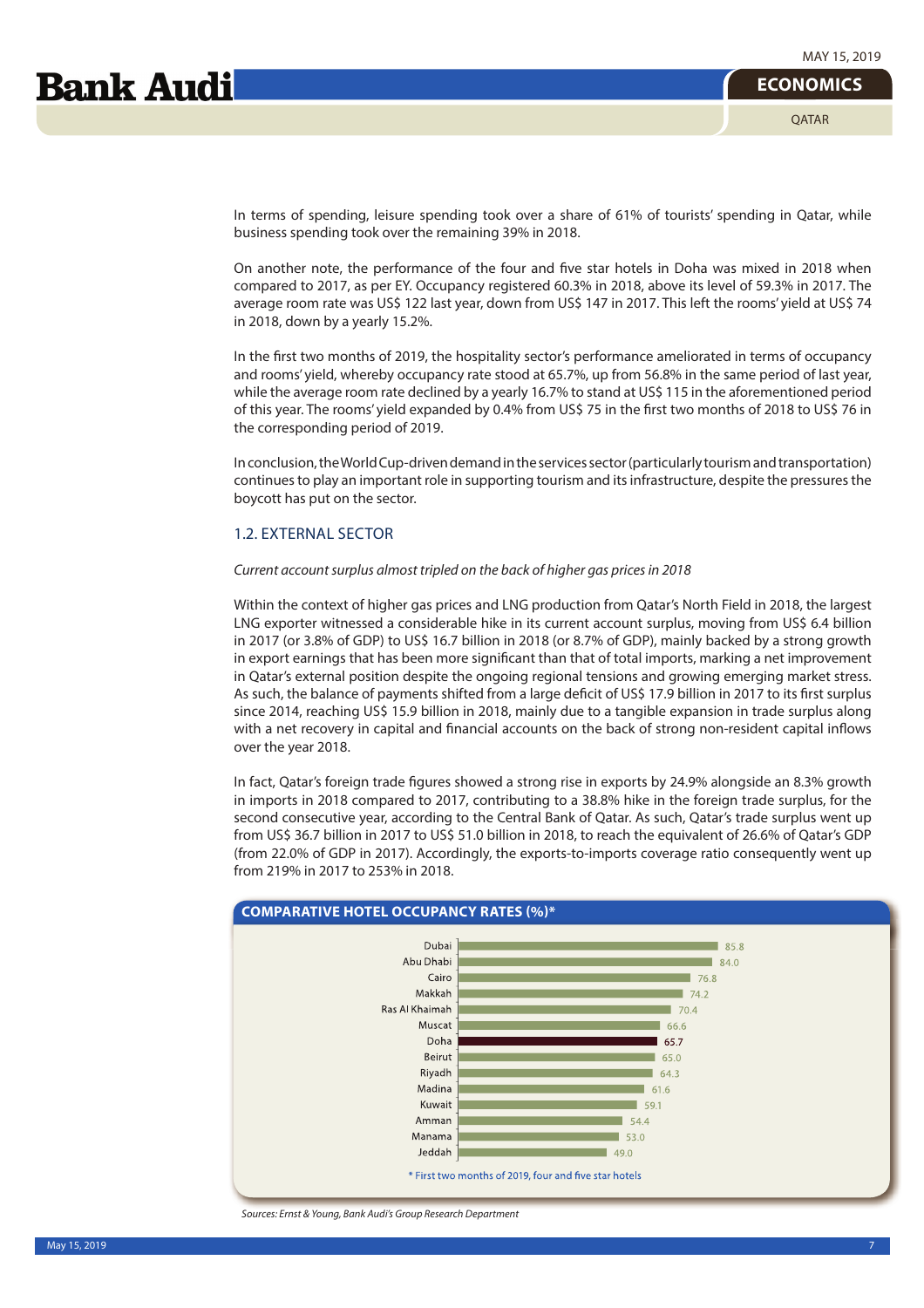**ECONOMICS**

In terms of spending, leisure spending took over a share of 61% of tourists' spending in Qatar, while business spending took over the remaining 39% in 2018.

On another note, the performance of the four and five star hotels in Doha was mixed in 2018 when compared to 2017, as per EY. Occupancy registered 60.3% in 2018, above its level of 59.3% in 2017. The average room rate was US\$ 122 last year, down from US\$ 147 in 2017. This left the rooms' yield at US\$ 74 in 2018, down by a yearly 15.2%.

In the first two months of 2019, the hospitality sector's performance ameliorated in terms of occupancy and rooms' yield, whereby occupancy rate stood at 65.7%, up from 56.8% in the same period of last year, while the average room rate declined by a yearly 16.7% to stand at US\$ 115 in the aforementioned period of this year. The rooms' yield expanded by 0.4% from US\$ 75 in the first two months of 2018 to US\$ 76 in the corresponding period of 2019.

In conclusion, the World Cup-driven demand in the services sector (particularly tourism and transportation) continues to play an important role in supporting tourism and its infrastructure, despite the pressures the boycott has put on the sector.

## 1.2. EXTERNAL SECTOR

#### Current account surplus almost tripled on the back of higher gas prices in 2018

Within the context of higher gas prices and LNG production from Qatar's North Field in 2018, the largest LNG exporter witnessed a considerable hike in its current account surplus, moving from US\$ 6.4 billion in 2017 (or 3.8% of GDP) to US\$ 16.7 billion in 2018 (or 8.7% of GDP), mainly backed by a strong growth in export earnings that has been more significant than that of total imports, marking a net improvement in Qatar's external position despite the ongoing regional tensions and growing emerging market stress. As such, the balance of payments shifted from a large deficit of US\$ 17.9 billion in 2017 to its first surplus since 2014, reaching US\$ 15.9 billion in 2018, mainly due to a tangible expansion in trade surplus along with a net recovery in capital and financial accounts on the back of strong non-resident capital inflows over the year 2018.

In fact, Qatar's foreign trade figures showed a strong rise in exports by 24.9% alongside an 8.3% growth in imports in 2018 compared to 2017, contributing to a 38.8% hike in the foreign trade surplus, for the second consecutive year, according to the Central Bank of Qatar. As such, Qatar's trade surplus went up from US\$ 36.7 billion in 2017 to US\$ 51.0 billion in 2018, to reach the equivalent of 26.6% of Qatar's GDP (from 22.0% of GDP in 2017). Accordingly, the exports-to-imports coverage ratio consequently went up from 219% in 2017 to 253% in 2018.



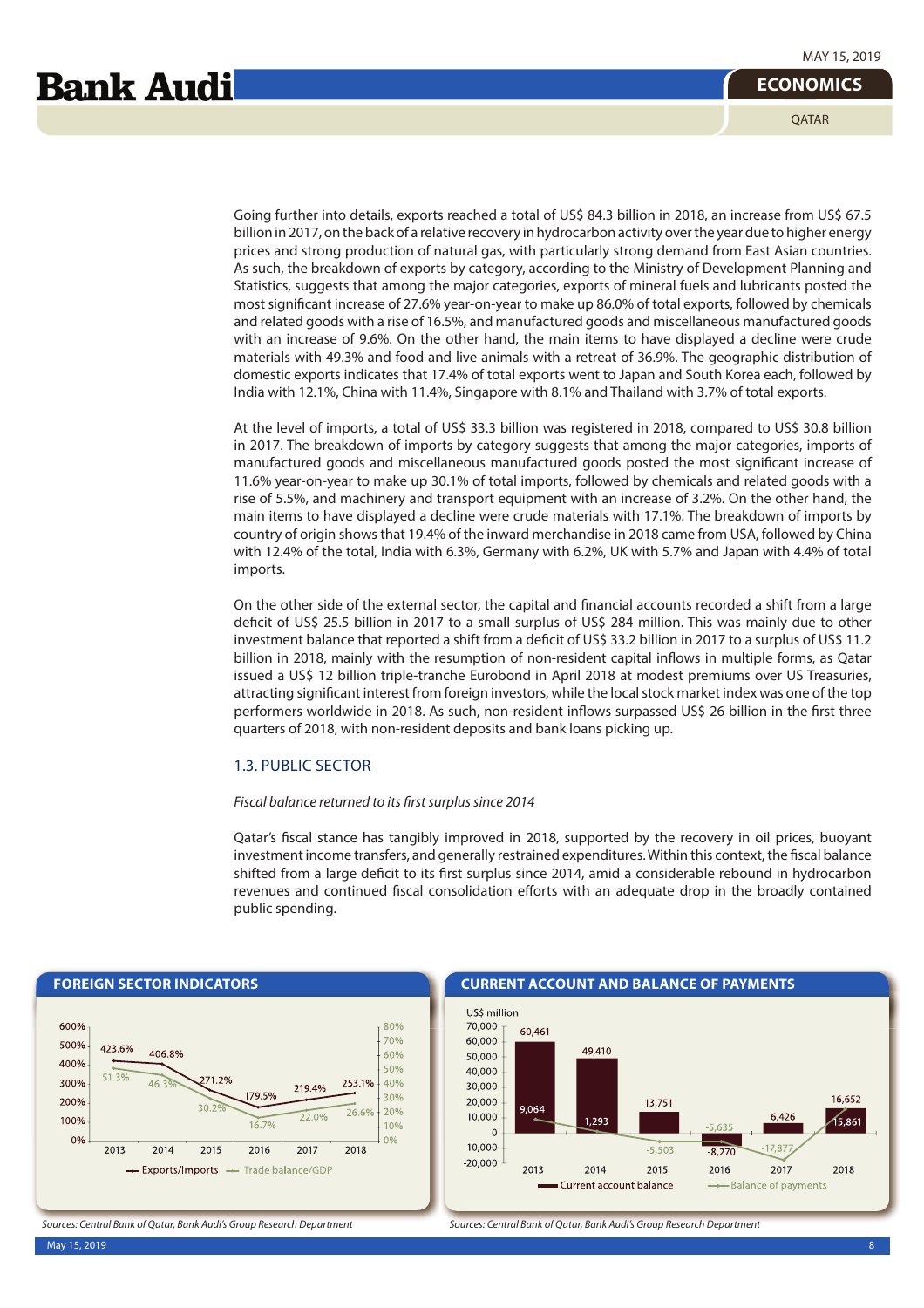# **Bank Audi**

**OATAR** 

Going further into details, exports reached a total of US\$ 84.3 billion in 2018, an increase from US\$ 67.5 billion in 2017, on the back of a relative recovery in hydrocarbon activity over the year due to higher energy prices and strong production of natural gas, with particularly strong demand from East Asian countries. As such, the breakdown of exports by category, according to the Ministry of Development Planning and Statistics, suggests that among the major categories, exports of mineral fuels and lubricants posted the most significant increase of 27.6% year-on-year to make up 86.0% of total exports, followed by chemicals and related goods with a rise of 16.5%, and manufactured goods and miscellaneous manufactured goods with an increase of 9.6%. On the other hand, the main items to have displayed a decline were crude materials with 49.3% and food and live animals with a retreat of 36.9%. The geographic distribution of domestic exports indicates that 17.4% of total exports went to Japan and South Korea each, followed by India with 12.1%, China with 11.4%, Singapore with 8.1% and Thailand with 3.7% of total exports.

At the level of imports, a total of US\$ 33.3 billion was registered in 2018, compared to US\$ 30.8 billion in 2017. The breakdown of imports by category suggests that among the major categories, imports of manufactured goods and miscellaneous manufactured goods posted the most significant increase of 11.6% year-on-year to make up 30.1% of total imports, followed by chemicals and related goods with a rise of 5.5%, and machinery and transport equipment with an increase of 3.2%. On the other hand, the main items to have displayed a decline were crude materials with 17.1%. The breakdown of imports by country of origin shows that 19.4% of the inward merchandise in 2018 came from USA, followed by China with 12.4% of the total, India with 6.3%, Germany with 6.2%, UK with 5.7% and Japan with 4.4% of total imports.

On the other side of the external sector, the capital and financial accounts recorded a shift from a large deficit of US\$ 25.5 billion in 2017 to a small surplus of US\$ 284 million. This was mainly due to other investment balance that reported a shift from a deficit of US\$ 33.2 billion in 2017 to a surplus of US\$ 11.2 billion in 2018, mainly with the resumption of non-resident capital inflows in multiple forms, as Qatar issued a US\$ 12 billion triple-tranche Eurobond in April 2018 at modest premiums over US Treasuries, attracting significant interest from foreign investors, while the local stock market index was one of the top performers worldwide in 2018. As such, non-resident inflows surpassed US\$ 26 billion in the first three quarters of 2018, with non-resident deposits and bank loans picking up.

## 1.3. PUBLIC SECTOR

#### Fiscal balance returned to its first surplus since 2014

Qatar's fiscal stance has tangibly improved in 2018, supported by the recovery in oil prices, buoyant investment income transfers, and generally restrained expenditures. Within this context, the fiscal balance shifted from a large deficit to its first surplus since 2014, amid a considerable rebound in hydrocarbon revenues and continued fiscal consolidation efforts with an adequate drop in the broadly contained public spending.

#### **FOREIGN SECTOR INDICATORS CURRENT ACCOUNT AND BALANCE OF PAYMENTS** 600% 80%  $70%$ 500% 423.6% 406.8% 60% 400% 50% 71.2% 40% 300%  $46:$ 253.1%  $219404$ 179.5% 30% 200%  $26.6$ 20% 22.0% 100% 16.7% 10%  $0%$  $0%$ 2013 2014 2015 2016 2017 2018  $-$  Exports/Imports  $-$ Trade balance/GDP

Sources: Central Bank of Qatar, Bank Audi's Group Research Department Sources: Central Bank of Qatar, Bank Audi's Group Research Department

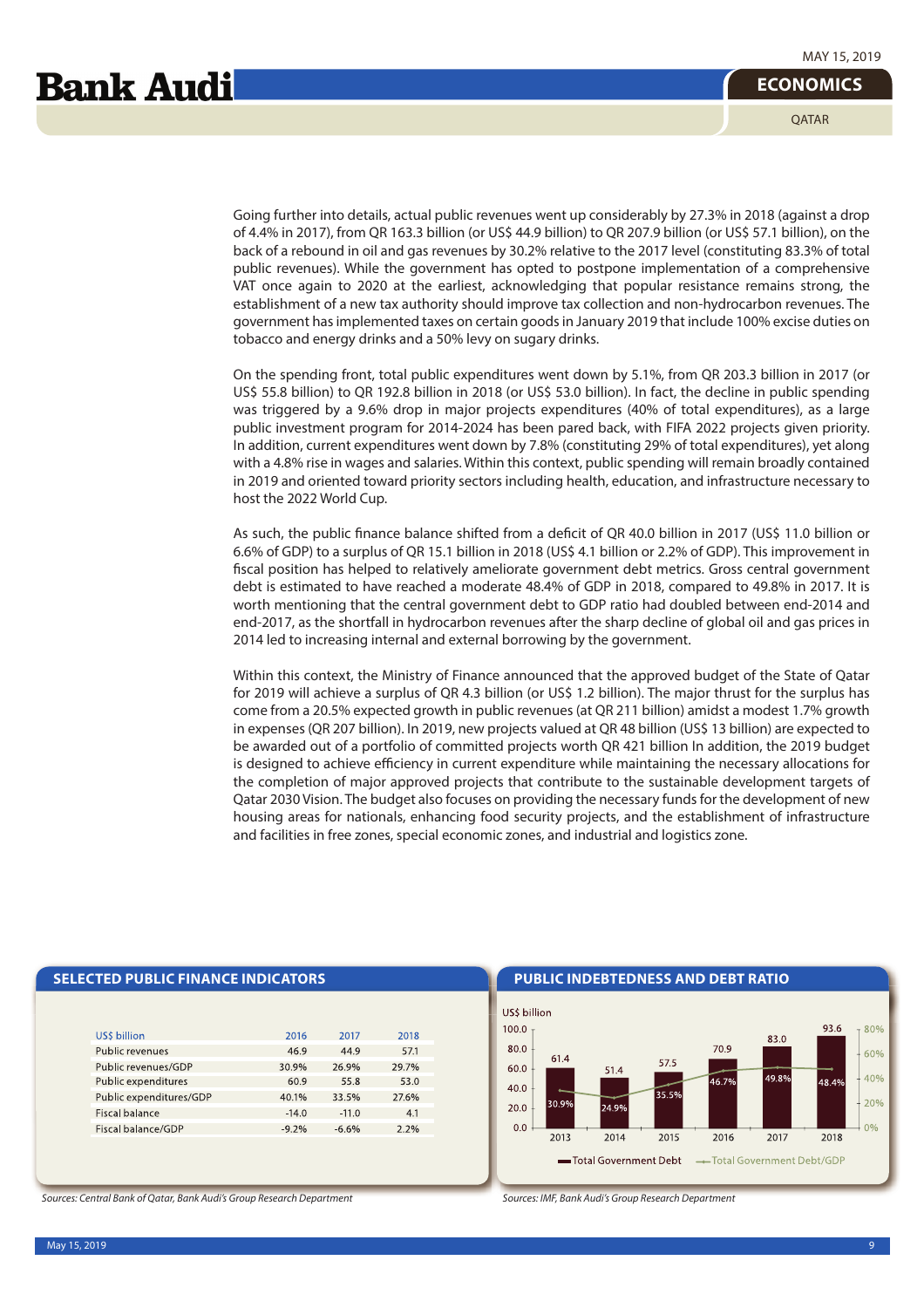Going further into details, actual public revenues went up considerably by 27.3% in 2018 (against a drop of 4.4% in 2017), from QR 163.3 billion (or US\$ 44.9 billion) to QR 207.9 billion (or US\$ 57.1 billion), on the back of a rebound in oil and gas revenues by 30.2% relative to the 2017 level (constituting 83.3% of total public revenues). While the government has opted to postpone implementation of a comprehensive VAT once again to 2020 at the earliest, acknowledging that popular resistance remains strong, the establishment of a new tax authority should improve tax collection and non-hydrocarbon revenues. The government has implemented taxes on certain goods in January 2019 that include 100% excise duties on tobacco and energy drinks and a 50% levy on sugary drinks.

On the spending front, total public expenditures went down by 5.1%, from QR 203.3 billion in 2017 (or US\$ 55.8 billion) to QR 192.8 billion in 2018 (or US\$ 53.0 billion). In fact, the decline in public spending was triggered by a 9.6% drop in major projects expenditures (40% of total expenditures), as a large public investment program for 2014-2024 has been pared back, with FIFA 2022 projects given priority. In addition, current expenditures went down by 7.8% (constituting 29% of total expenditures), yet along with a 4.8% rise in wages and salaries. Within this context, public spending will remain broadly contained in 2019 and oriented toward priority sectors including health, education, and infrastructure necessary to host the 2022 World Cup.

As such, the public finance balance shifted from a deficit of QR 40.0 billion in 2017 (US\$ 11.0 billion or 6.6% of GDP) to a surplus of QR 15.1 billion in 2018 (US\$ 4.1 billion or 2.2% of GDP). This improvement in fiscal position has helped to relatively ameliorate government debt metrics. Gross central government debt is estimated to have reached a moderate 48.4% of GDP in 2018, compared to 49.8% in 2017. It is worth mentioning that the central government debt to GDP ratio had doubled between end-2014 and end-2017, as the shortfall in hydrocarbon revenues after the sharp decline of global oil and gas prices in 2014 led to increasing internal and external borrowing by the government.

Within this context, the Ministry of Finance announced that the approved budget of the State of Qatar for 2019 will achieve a surplus of QR 4.3 billion (or US\$ 1.2 billion). The major thrust for the surplus has come from a 20.5% expected growth in public revenues (at QR 211 billion) amidst a modest 1.7% growth in expenses (QR 207 billion). In 2019, new projects valued at QR 48 billion (US\$ 13 billion) are expected to be awarded out of a portfolio of committed projects worth QR 421 billion In addition, the 2019 budget is designed to achieve efficiency in current expenditure while maintaining the necessary allocations for the completion of major approved projects that contribute to the sustainable development targets of Qatar 2030 Vision. The budget also focuses on providing the necessary funds for the development of new housing areas for nationals, enhancing food security projects, and the establishment of infrastructure and facilities in free zones, special economic zones, and industrial and logistics zone.

| <b>SELECTED PUBLIC FINANCE INDICATORS</b> |  |
|-------------------------------------------|--|
|                                           |  |
|                                           |  |

| <b>USS billion</b>      | 2016    | 2017    | 2018  |
|-------------------------|---------|---------|-------|
| Public revenues         | 46.9    | 44.9    | 57.1  |
| Public revenues/GDP     | 30.9%   | 26.9%   | 29.7% |
| Public expenditures     | 60.9    | 55.8    | 53.0  |
| Public expenditures/GDP | 40.1%   | 33.5%   | 27.6% |
| Fiscal balance          | $-14.0$ | $-11.0$ | 4.1   |
| Fiscal balance/GDP      | $-9.2%$ | $-6.6%$ | 2.2%  |
|                         |         |         |       |

**PUBLIC INDEBTEDNESS AND DEBT RATIO** 



Sources: Central Bank of Qatar, Bank Audi's Group Research Department Sources: IMF, Bank Audi's Group Research Department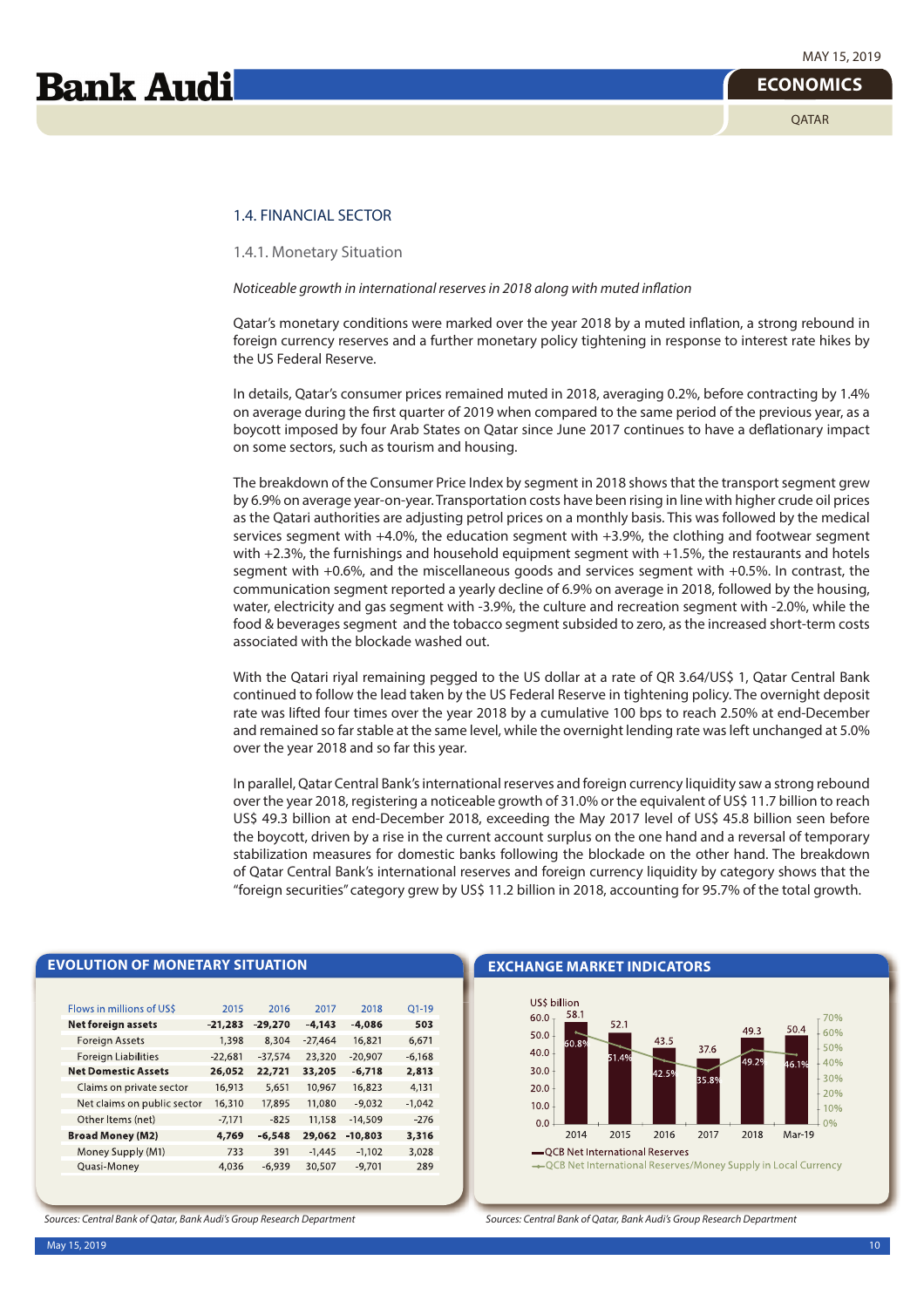## 1.4. FINANCIAL SECTOR

1.4.1. Monetary Situation

Noticeable growth in international reserves in 2018 along with muted inflation

Qatar's monetary conditions were marked over the year 2018 by a muted inflation, a strong rebound in foreign currency reserves and a further monetary policy tightening in response to interest rate hikes by the US Federal Reserve.

In details, Qatar's consumer prices remained muted in 2018, averaging 0.2%, before contracting by 1.4% on average during the first quarter of 2019 when compared to the same period of the previous year, as a boycott imposed by four Arab States on Qatar since June 2017 continues to have a deflationary impact on some sectors, such as tourism and housing.

The breakdown of the Consumer Price Index by segment in 2018 shows that the transport segment grew by 6.9% on average year-on-year. Transportation costs have been rising in line with higher crude oil prices as the Qatari authorities are adjusting petrol prices on a monthly basis. This was followed by the medical services segment with +4.0%, the education segment with +3.9%, the clothing and footwear segment with +2.3%, the furnishings and household equipment segment with +1.5%, the restaurants and hotels segment with +0.6%, and the miscellaneous goods and services segment with +0.5%. In contrast, the communication segment reported a yearly decline of 6.9% on average in 2018, followed by the housing, water, electricity and gas segment with -3.9%, the culture and recreation segment with -2.0%, while the food & beverages segment and the tobacco segment subsided to zero, as the increased short-term costs associated with the blockade washed out.

With the Qatari riyal remaining pegged to the US dollar at a rate of QR 3.64/US\$ 1, Qatar Central Bank continued to follow the lead taken by the US Federal Reserve in tightening policy. The overnight deposit rate was lifted four times over the year 2018 by a cumulative 100 bps to reach 2.50% at end-December and remained so far stable at the same level, while the overnight lending rate was left unchanged at 5.0% over the year 2018 and so far this year.

In parallel, Qatar Central Bank's international reserves and foreign currency liquidity saw a strong rebound over the year 2018, registering a noticeable growth of 31.0% or the equivalent of US\$ 11.7 billion to reach US\$ 49.3 billion at end-December 2018, exceeding the May 2017 level of US\$ 45.8 billion seen before the boycott, driven by a rise in the current account surplus on the one hand and a reversal of temporary stabilization measures for domestic banks following the blockade on the other hand. The breakdown of Qatar Central Bank's international reserves and foreign currency liquidity by category shows that the "foreign securities" category grew by US\$ 11.2 billion in 2018, accounting for 95.7% of the total growth.

| Flows in millions of US\$   | 2015      | 2016      | 2017      | 2018      | $O1 - 19$ |
|-----------------------------|-----------|-----------|-----------|-----------|-----------|
| Net foreign assets          | $-21,283$ | $-29,270$ | $-4.143$  | $-4.086$  | 503       |
| Foreign Assets              | 1,398     | 8,304     | $-27,464$ | 16,821    | 6,671     |
| Foreign Liabilities         | $-22,681$ | $-37,574$ | 23,320    | $-20,907$ | $-6,168$  |
| <b>Net Domestic Assets</b>  | 26,052    | 22,721    | 33,205    | $-6,718$  | 2,813     |
| Claims on private sector    | 16,913    | 5,651     | 10,967    | 16,823    | 4,131     |
| Net claims on public sector | 16,310    | 17,895    | 11,080    | $-9,032$  | $-1.042$  |
| Other Items (net)           | $-7,171$  | $-825$    | 11,158    | $-14,509$ | $-276$    |
| <b>Broad Money (M2)</b>     | 4.769     | $-6,548$  | 29,062    | $-10.803$ | 3,316     |
| Money Supply (M1)           | 733       | 391       | $-1.445$  | $-1,102$  | 3,028     |
| Quasi-Money                 | 4,036     | $-6.939$  | 30,507    | $-9,701$  | 289       |
|                             |           |           |           |           |           |

Sources: Central Bank of Qatar, Bank Audi's Group Research Department

**EVOLUTION OF MONETARY SITUATION**

**EXCHANGE MARKET INDICATORS**



Sources: Central Bank of Qatar, Bank Audi's Group Research Department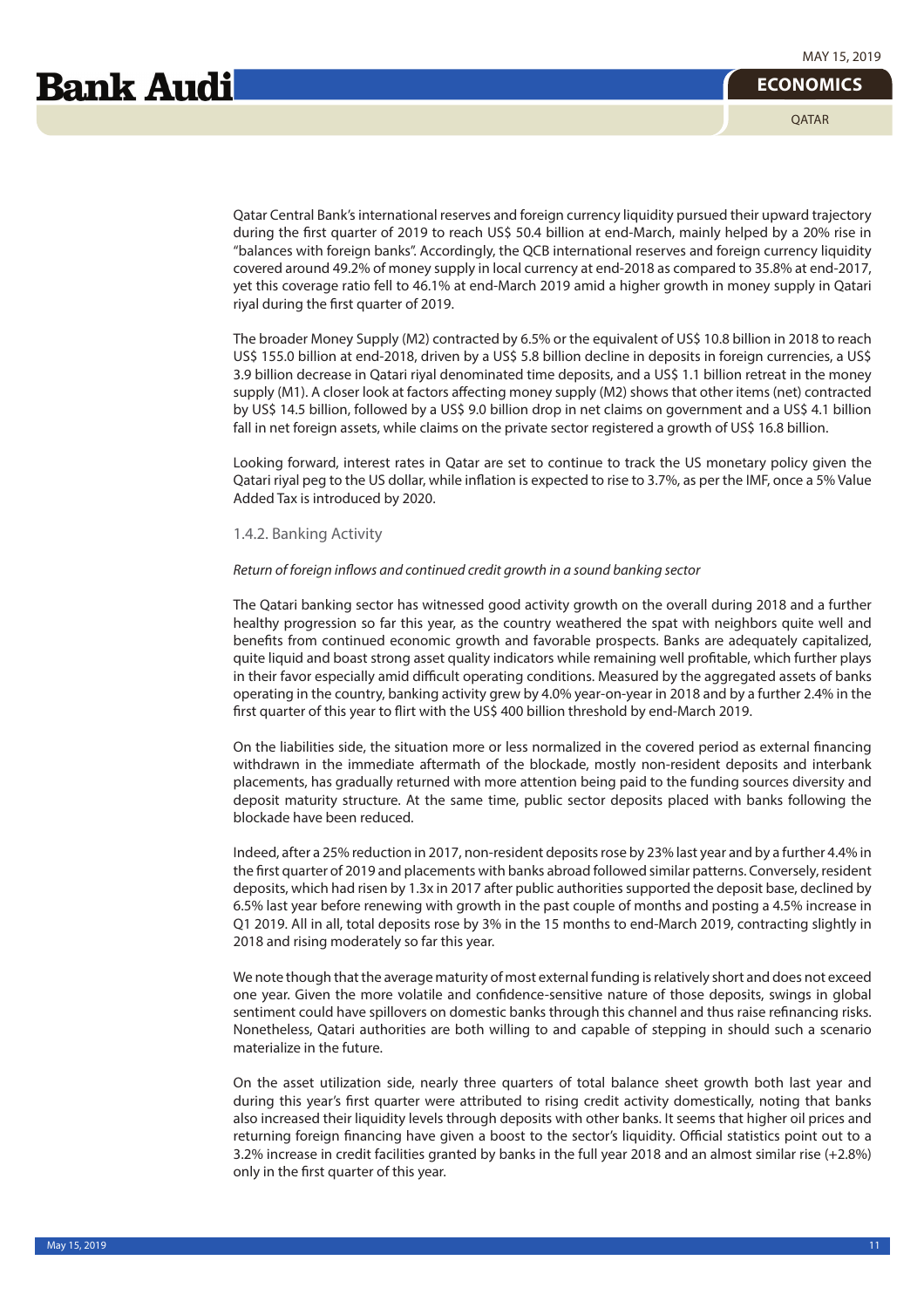**OATAR** 

Qatar Central Bank's international reserves and foreign currency liquidity pursued their upward trajectory during the first quarter of 2019 to reach US\$ 50.4 billion at end-March, mainly helped by a 20% rise in "balances with foreign banks". Accordingly, the QCB international reserves and foreign currency liquidity covered around 49.2% of money supply in local currency at end-2018 as compared to 35.8% at end-2017, yet this coverage ratio fell to 46.1% at end-March 2019 amid a higher growth in money supply in Qatari riyal during the first quarter of 2019.

The broader Money Supply (M2) contracted by 6.5% or the equivalent of US\$ 10.8 billion in 2018 to reach US\$ 155.0 billion at end-2018, driven by a US\$ 5.8 billion decline in deposits in foreign currencies, a US\$ 3.9 billion decrease in Qatari riyal denominated time deposits, and a US\$ 1.1 billion retreat in the money supply (M1). A closer look at factors affecting money supply (M2) shows that other items (net) contracted by US\$ 14.5 billion, followed by a US\$ 9.0 billion drop in net claims on government and a US\$ 4.1 billion fall in net foreign assets, while claims on the private sector registered a growth of US\$ 16.8 billion.

Looking forward, interest rates in Qatar are set to continue to track the US monetary policy given the Qatari riyal peg to the US dollar, while inflation is expected to rise to 3.7%, as per the IMF, once a 5% Value Added Tax is introduced by 2020.

#### 1.4.2. Banking Activity

#### Return of foreign inflows and continued credit growth in a sound banking sector

The Qatari banking sector has witnessed good activity growth on the overall during 2018 and a further healthy progression so far this year, as the country weathered the spat with neighbors quite well and benefits from continued economic growth and favorable prospects. Banks are adequately capitalized, quite liquid and boast strong asset quality indicators while remaining well profitable, which further plays in their favor especially amid difficult operating conditions. Measured by the aggregated assets of banks operating in the country, banking activity grew by 4.0% year-on-year in 2018 and by a further 2.4% in the first quarter of this year to flirt with the US\$ 400 billion threshold by end-March 2019.

On the liabilities side, the situation more or less normalized in the covered period as external financing withdrawn in the immediate aftermath of the blockade, mostly non-resident deposits and interbank placements, has gradually returned with more attention being paid to the funding sources diversity and deposit maturity structure. At the same time, public sector deposits placed with banks following the blockade have been reduced.

Indeed, after a 25% reduction in 2017, non-resident deposits rose by 23% last year and by a further 4.4% in the first quarter of 2019 and placements with banks abroad followed similar patterns. Conversely, resident deposits, which had risen by 1.3x in 2017 after public authorities supported the deposit base, declined by 6.5% last year before renewing with growth in the past couple of months and posting a 4.5% increase in Q1 2019. All in all, total deposits rose by 3% in the 15 months to end-March 2019, contracting slightly in 2018 and rising moderately so far this year.

We note though that the average maturity of most external funding is relatively short and does not exceed one year. Given the more volatile and confidence-sensitive nature of those deposits, swings in global sentiment could have spillovers on domestic banks through this channel and thus raise refinancing risks. Nonetheless, Qatari authorities are both willing to and capable of stepping in should such a scenario materialize in the future.

On the asset utilization side, nearly three quarters of total balance sheet growth both last year and during this year's first quarter were attributed to rising credit activity domestically, noting that banks also increased their liquidity levels through deposits with other banks. It seems that higher oil prices and returning foreign financing have given a boost to the sector's liquidity. Official statistics point out to a 3.2% increase in credit facilities granted by banks in the full year 2018 and an almost similar rise (+2.8%) only in the first quarter of this year.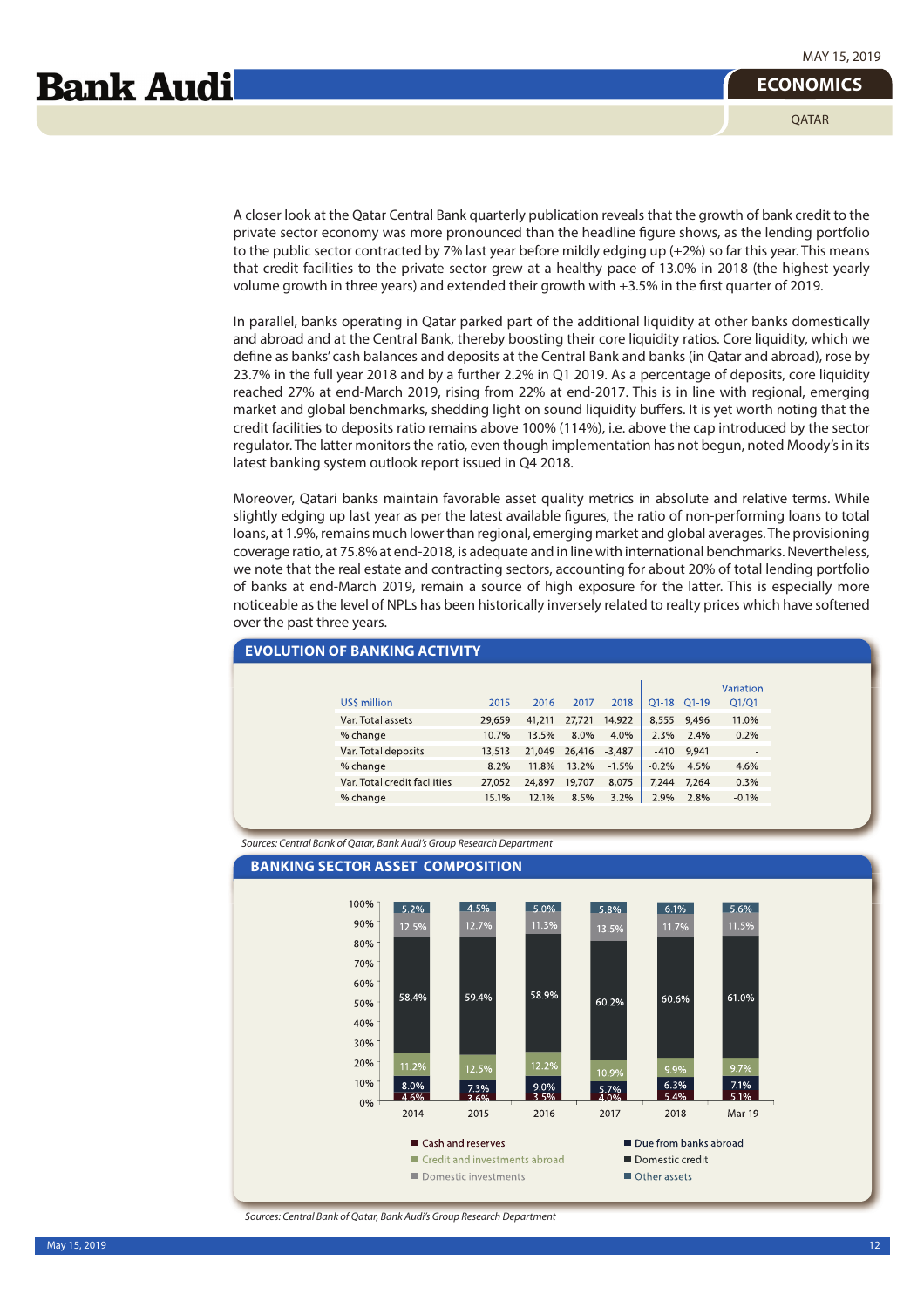**OATAR** 

A closer look at the Qatar Central Bank quarterly publication reveals that the growth of bank credit to the private sector economy was more pronounced than the headline figure shows, as the lending portfolio to the public sector contracted by 7% last year before mildly edging up (+2%) so far this year. This means that credit facilities to the private sector grew at a healthy pace of 13.0% in 2018 (the highest yearly volume growth in three years) and extended their growth with +3.5% in the first quarter of 2019.

In parallel, banks operating in Qatar parked part of the additional liquidity at other banks domestically and abroad and at the Central Bank, thereby boosting their core liquidity ratios. Core liquidity, which we define as banks' cash balances and deposits at the Central Bank and banks (in Qatar and abroad), rose by 23.7% in the full year 2018 and by a further 2.2% in Q1 2019. As a percentage of deposits, core liquidity reached 27% at end-March 2019, rising from 22% at end-2017. This is in line with regional, emerging market and global benchmarks, shedding light on sound liquidity buffers. It is yet worth noting that the credit facilities to deposits ratio remains above 100% (114%), i.e. above the cap introduced by the sector regulator. The latter monitors the ratio, even though implementation has not begun, noted Moody's in its latest banking system outlook report issued in Q4 2018.

Moreover, Qatari banks maintain favorable asset quality metrics in absolute and relative terms. While slightly edging up last year as per the latest available figures, the ratio of non-performing loans to total loans, at 1.9%, remains much lower than regional, emerging market and global averages. The provisioning coverage ratio, at 75.8% at end-2018, is adequate and in line with international benchmarks. Nevertheless, we note that the real estate and contracting sectors, accounting for about 20% of total lending portfolio of banks at end-March 2019, remain a source of high exposure for the latter. This is especially more noticeable as the level of NPLs has been historically inversely related to realty prices which have softened over the past three years.

| Variation                                                                                     |
|-----------------------------------------------------------------------------------------------|
|                                                                                               |
| US\$ million<br>Q1-18 Q1-19<br>2018<br>Q1/Q1<br>2015<br>2016<br>2017                          |
| Var. Total assets<br>14,922<br>8,555<br>11.0%<br>29,659<br>41,211<br>27,721<br>9,496          |
| % change<br>10.7%<br>13.5%<br>2.3%<br>0.2%<br>8.0%<br>4.0%<br>2.4%                            |
| Var. Total deposits<br>9,941<br>21,049<br>26,416<br>13,513<br>$-3,487$<br>$-410$              |
| % change<br>$-1.5%$<br>4.5%<br>8.2%<br>11.8%<br>13.2%<br>$-0.2%$<br>4.6%                      |
| Var. Total credit facilities<br>24,897<br>8,075<br>7.244<br>0.3%<br>19,707<br>7,264<br>27,052 |
| 15.1%<br>3.2%<br>2.9%<br>% change<br>12.1%<br>8.5%<br>2.8%<br>$-0.1%$                         |

Sources: Central Bank of Qatar, Bank Audi's Group Research Department

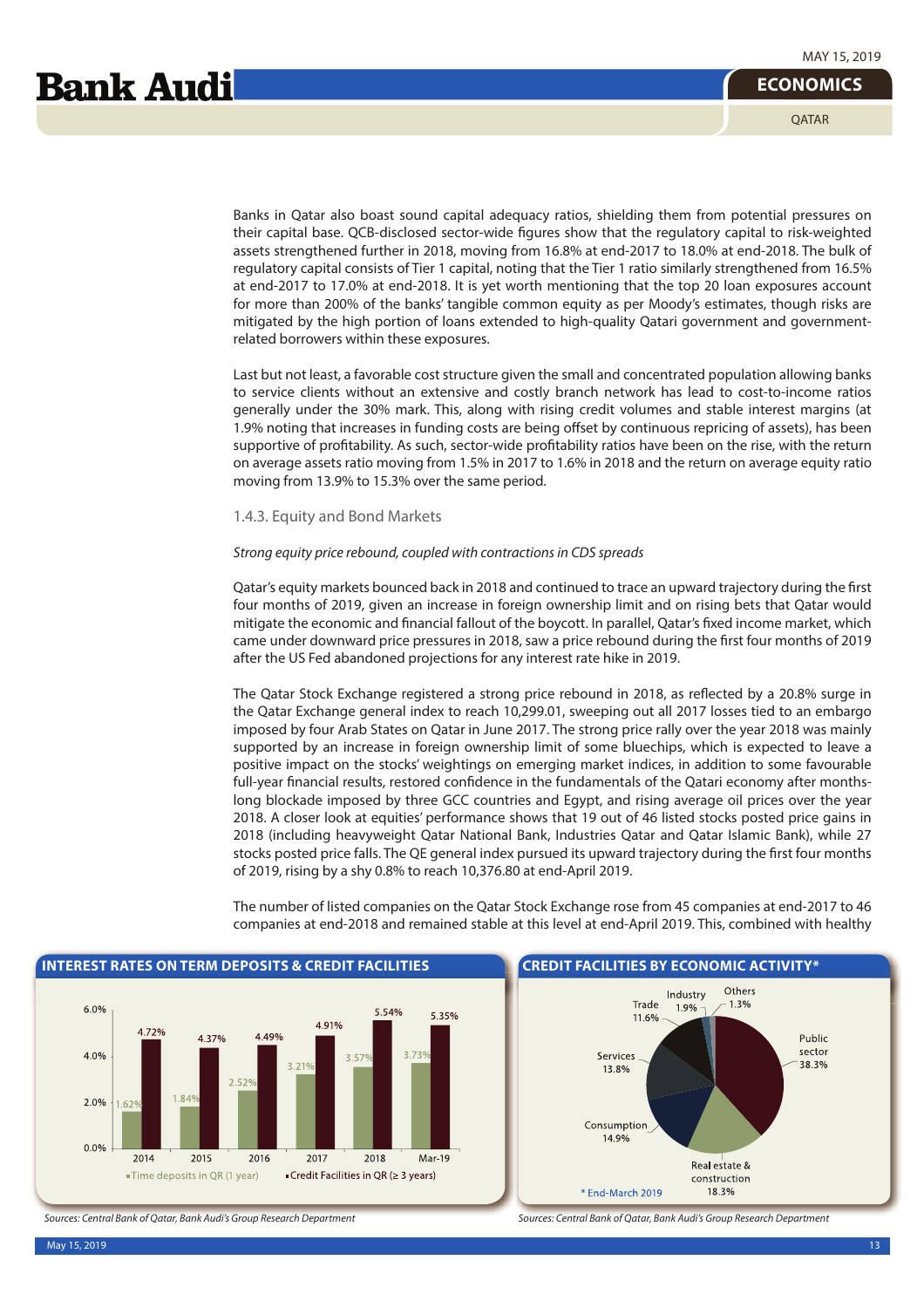Banks in Qatar also boast sound capital adequacy ratios, shielding them from potential pressures on their capital base. QCB-disclosed sector-wide figures show that the regulatory capital to risk-weighted assets strengthened further in 2018, moving from 16.8% at end-2017 to 18.0% at end-2018. The bulk of regulatory capital consists of Tier 1 capital, noting that the Tier 1 ratio similarly strengthened from 16.5% at end-2017 to 17.0% at end-2018. It is yet worth mentioning that the top 20 loan exposures account for more than 200% of the banks' tangible common equity as per Moody's estimates, though risks are mitigated by the high portion of loans extended to high-quality Qatari government and governmentrelated borrowers within these exposures.

Last but not least, a favorable cost structure given the small and concentrated population allowing banks to service clients without an extensive and costly branch network has lead to cost-to-income ratios generally under the 30% mark. This, along with rising credit volumes and stable interest margins (at 1.9% noting that increases in funding costs are being offset by continuous repricing of assets), has been supportive of profitability. As such, sector-wide profitability ratios have been on the rise, with the return on average assets ratio moving from 1.5% in 2017 to 1.6% in 2018 and the return on average equity ratio moving from 13.9% to 15.3% over the same period.

#### 1.4.3. Equity and Bond Markets

#### Strong equity price rebound, coupled with contractions in CDS spreads

Qatar's equity markets bounced back in 2018 and continued to trace an upward trajectory during the first four months of 2019, given an increase in foreign ownership limit and on rising bets that Qatar would mitigate the economic and financial fallout of the boycott. In parallel, Qatar's fixed income market, which came under downward price pressures in 2018, saw a price rebound during the first four months of 2019 after the US Fed abandoned projections for any interest rate hike in 2019.

The Qatar Stock Exchange registered a strong price rebound in 2018, as reflected by a 20.8% surge in the Qatar Exchange general index to reach 10,299.01, sweeping out all 2017 losses tied to an embargo imposed by four Arab States on Qatar in June 2017. The strong price rally over the year 2018 was mainly supported by an increase in foreign ownership limit of some bluechips, which is expected to leave a positive impact on the stocks' weightings on emerging market indices, in addition to some favourable full-year financial results, restored confidence in the fundamentals of the Qatari economy after monthslong blockade imposed by three GCC countries and Egypt, and rising average oil prices over the year 2018. A closer look at equities' performance shows that 19 out of 46 listed stocks posted price gains in 2018 (including heavyweight Qatar National Bank, Industries Qatar and Qatar Islamic Bank), while 27 stocks posted price falls. The QE general index pursued its upward trajectory during the first four months of 2019, rising by a shy 0.8% to reach 10,376.80 at end-April 2019.



The number of listed companies on the Qatar Stock Exchange rose from 45 companies at end-2017 to 46 companies at end-2018 and remained stable at this level at end-April 2019. This, combined with healthy



Sources: Central Bank of Qatar, Bank Audi's Group Research Department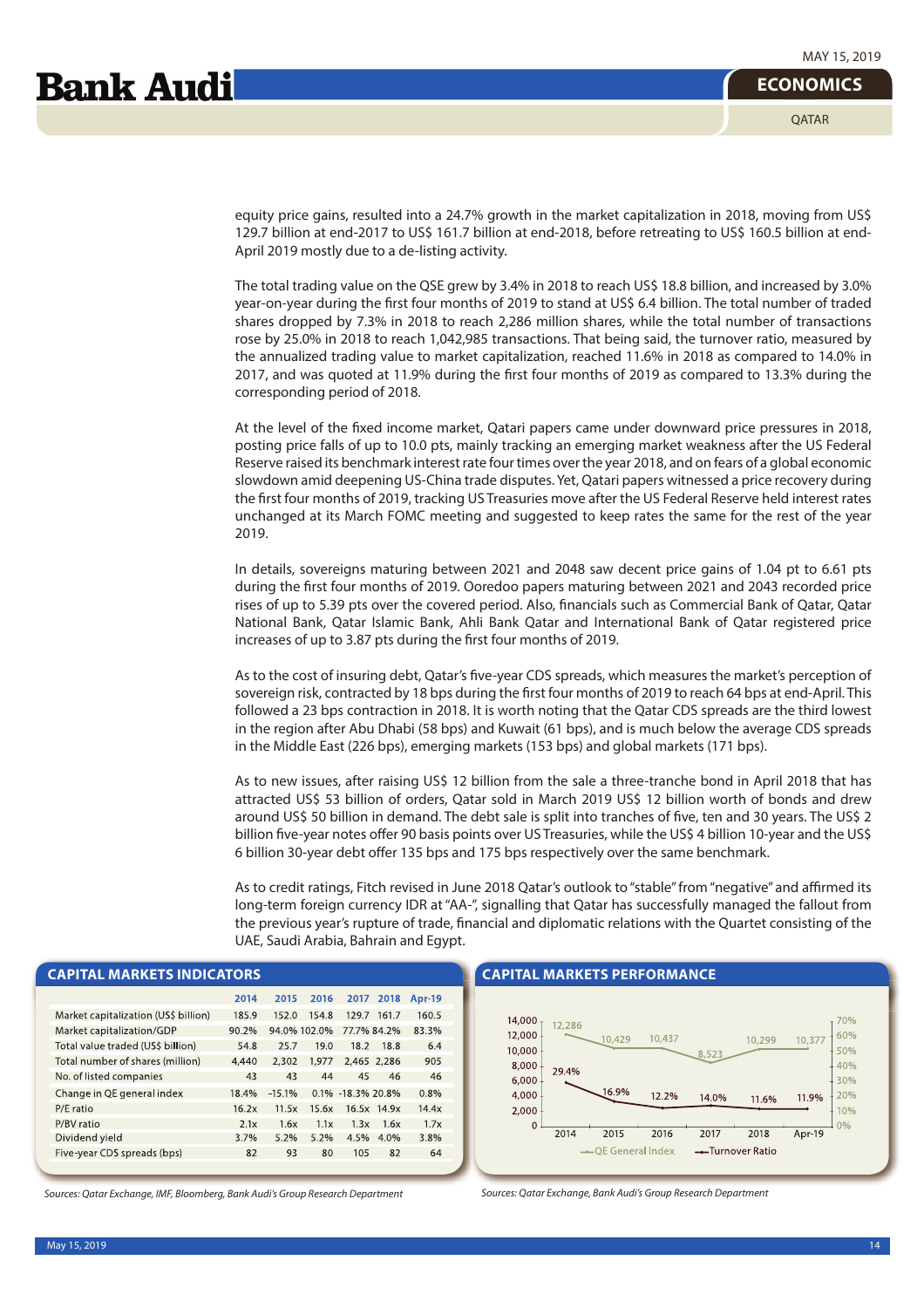**OATAR** 

equity price gains, resulted into a 24.7% growth in the market capitalization in 2018, moving from US\$ 129.7 billion at end-2017 to US\$ 161.7 billion at end-2018, before retreating to US\$ 160.5 billion at end-April 2019 mostly due to a de-listing activity.

The total trading value on the QSE grew by 3.4% in 2018 to reach US\$ 18.8 billion, and increased by 3.0% year-on-year during the first four months of 2019 to stand at US\$ 6.4 billion. The total number of traded shares dropped by 7.3% in 2018 to reach 2,286 million shares, while the total number of transactions rose by 25.0% in 2018 to reach 1,042,985 transactions. That being said, the turnover ratio, measured by the annualized trading value to market capitalization, reached 11.6% in 2018 as compared to 14.0% in 2017, and was quoted at 11.9% during the first four months of 2019 as compared to 13.3% during the corresponding period of 2018.

At the level of the fixed income market, Qatari papers came under downward price pressures in 2018, posting price falls of up to 10.0 pts, mainly tracking an emerging market weakness after the US Federal Reserve raised its benchmark interest rate four times over the year 2018, and on fears of a global economic slowdown amid deepening US-China trade disputes. Yet, Qatari papers witnessed a price recovery during the first four months of 2019, tracking US Treasuries move after the US Federal Reserve held interest rates unchanged at its March FOMC meeting and suggested to keep rates the same for the rest of the year 2019.

In details, sovereigns maturing between 2021 and 2048 saw decent price gains of 1.04 pt to 6.61 pts during the first four months of 2019. Ooredoo papers maturing between 2021 and 2043 recorded price rises of up to 5.39 pts over the covered period. Also, financials such as Commercial Bank of Qatar, Qatar National Bank, Qatar Islamic Bank, Ahli Bank Qatar and International Bank of Qatar registered price increases of up to 3.87 pts during the first four months of 2019.

As to the cost of insuring debt, Qatar's five-year CDS spreads, which measures the market's perception of sovereign risk, contracted by 18 bps during the first four months of 2019 to reach 64 bps at end-April. This followed a 23 bps contraction in 2018. It is worth noting that the Qatar CDS spreads are the third lowest in the region after Abu Dhabi (58 bps) and Kuwait (61 bps), and is much below the average CDS spreads in the Middle East (226 bps), emerging markets (153 bps) and global markets (171 bps).

As to new issues, after raising US\$ 12 billion from the sale a three-tranche bond in April 2018 that has attracted US\$ 53 billion of orders, Qatar sold in March 2019 US\$ 12 billion worth of bonds and drew around US\$ 50 billion in demand. The debt sale is split into tranches of five, ten and 30 years. The US\$ 2 billion five-year notes offer 90 basis points over US Treasuries, while the US\$ 4 billion 10-year and the US\$ 6 billion 30-year debt offer 135 bps and 175 bps respectively over the same benchmark.

As to credit ratings, Fitch revised in June 2018 Qatar's outlook to "stable" from "negative" and affirmed its long-term foreign currency IDR at "AA-", signalling that Qatar has successfully managed the fallout from the previous year's rupture of trade, financial and diplomatic relations with the Quartet consisting of the UAE, Saudi Arabia, Bahrain and Egypt.

#### **CAPITAL MARKETS INDICATORS**

|                                      | 2014  | 2015     | 2016         | 2017              | 2018        | <b>Apr-19</b> |
|--------------------------------------|-------|----------|--------------|-------------------|-------------|---------------|
| Market capitalization (US\$ billion) | 185.9 | 152.0    | 154.8        | 129.7             | 161.7       | 160.5         |
| Market capitalization/GDP            | 90.2% |          | 94.0% 102.0% |                   | 77.7% 84.2% | 83.3%         |
| Total value traded (US\$ billion)    | 54.8  | 25.7     | 19.0         | 18.2              | 18.8        | 6.4           |
| Total number of shares (million)     | 4,440 | 2,302    | 1.977        |                   | 2,465 2,286 | 905           |
| No. of listed companies              | 43    | 43       | 44           | 45                | 46          | 46            |
| Change in QE general index           | 18.4% | $-15.1%$ |              | 0.1% -18.3% 20.8% |             | 0.8%          |
| P/E ratio                            | 16.2x | 11.5x    | 15.6x        |                   | 16.5x 14.9x | 14.4x         |
| P/BV ratio                           | 2.1x  | 1.6x     | 1.1x         | 1.3x              | 1.6x        | 1.7x          |
| Dividend yield                       | 3.7%  | 5.2%     | 5.2%         | 4.5%              | 4.0%        | 3.8%          |
| Five-year CDS spreads (bps)          | 82    | 93       | 80           | 105               | 82          | 64            |
|                                      |       |          |              |                   |             |               |

Sources: Qatar Exchange, IMF, Bloomberg, Bank Audi's Group Research Department

#### **CAPITAL MARKETS PERFORMANCE**



Sources: Qatar Exchange, Bank Audi's Group Research Department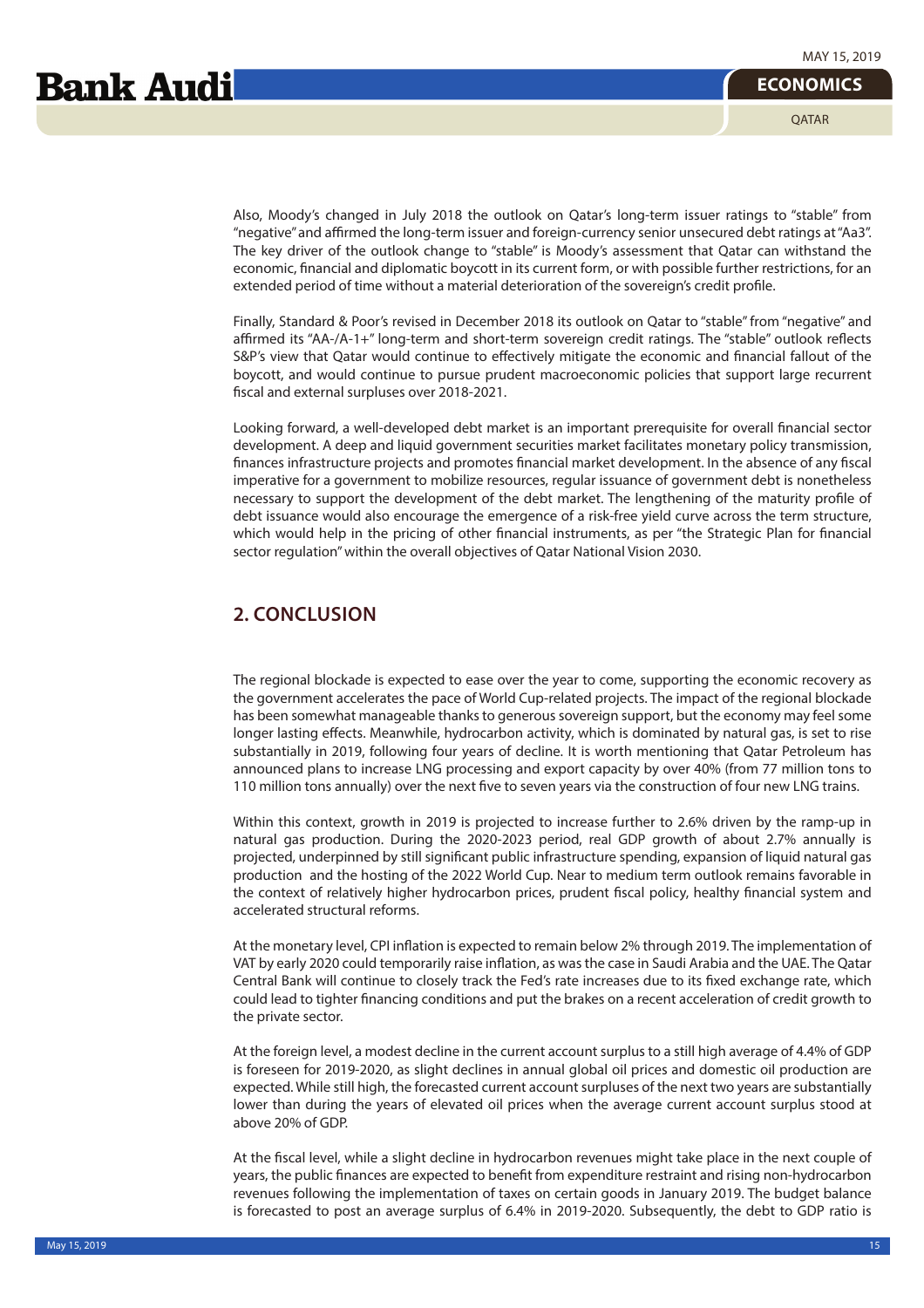Also, Moody's changed in July 2018 the outlook on Qatar's long-term issuer ratings to "stable" from "negative" and affirmed the long-term issuer and foreign-currency senior unsecured debt ratings at "Aa3". The key driver of the outlook change to "stable" is Moody's assessment that Qatar can withstand the economic, financial and diplomatic boycott in its current form, or with possible further restrictions, for an extended period of time without a material deterioration of the sovereign's credit profile.

Finally, Standard & Poor's revised in December 2018 its outlook on Qatar to "stable" from "negative" and affirmed its "AA-/A-1+" long-term and short-term sovereign credit ratings. The "stable" outlook reflects S&P's view that Qatar would continue to effectively mitigate the economic and financial fallout of the boycott, and would continue to pursue prudent macroeconomic policies that support large recurrent fiscal and external surpluses over 2018-2021.

Looking forward, a well-developed debt market is an important prerequisite for overall financial sector development. A deep and liquid government securities market facilitates monetary policy transmission, finances infrastructure projects and promotes financial market development. In the absence of any fiscal imperative for a government to mobilize resources, regular issuance of government debt is nonetheless necessary to support the development of the debt market. The lengthening of the maturity profile of debt issuance would also encourage the emergence of a risk-free yield curve across the term structure, which would help in the pricing of other financial instruments, as per "the Strategic Plan for financial sector regulation" within the overall objectives of Qatar National Vision 2030.

## **2. CONCLUSION**

The regional blockade is expected to ease over the year to come, supporting the economic recovery as the government accelerates the pace of World Cup-related projects. The impact of the regional blockade has been somewhat manageable thanks to generous sovereign support, but the economy may feel some longer lasting effects. Meanwhile, hydrocarbon activity, which is dominated by natural gas, is set to rise substantially in 2019, following four years of decline. It is worth mentioning that Qatar Petroleum has announced plans to increase LNG processing and export capacity by over 40% (from 77 million tons to 110 million tons annually) over the next five to seven years via the construction of four new LNG trains.

Within this context, growth in 2019 is projected to increase further to 2.6% driven by the ramp-up in natural gas production. During the 2020-2023 period, real GDP growth of about 2.7% annually is projected, underpinned by still significant public infrastructure spending, expansion of liquid natural gas production and the hosting of the 2022 World Cup. Near to medium term outlook remains favorable in the context of relatively higher hydrocarbon prices, prudent fiscal policy, healthy financial system and accelerated structural reforms.

At the monetary level, CPI inflation is expected to remain below 2% through 2019. The implementation of VAT by early 2020 could temporarily raise inflation, as was the case in Saudi Arabia and the UAE. The Qatar Central Bank will continue to closely track the Fed's rate increases due to its fixed exchange rate, which could lead to tighter financing conditions and put the brakes on a recent acceleration of credit growth to the private sector.

At the foreign level, a modest decline in the current account surplus to a still high average of 4.4% of GDP is foreseen for 2019-2020, as slight declines in annual global oil prices and domestic oil production are expected. While still high, the forecasted current account surpluses of the next two years are substantially lower than during the years of elevated oil prices when the average current account surplus stood at above 20% of GDP.

At the fiscal level, while a slight decline in hydrocarbon revenues might take place in the next couple of years, the public finances are expected to benefit from expenditure restraint and rising non-hydrocarbon revenues following the implementation of taxes on certain goods in January 2019. The budget balance is forecasted to post an average surplus of 6.4% in 2019-2020. Subsequently, the debt to GDP ratio is